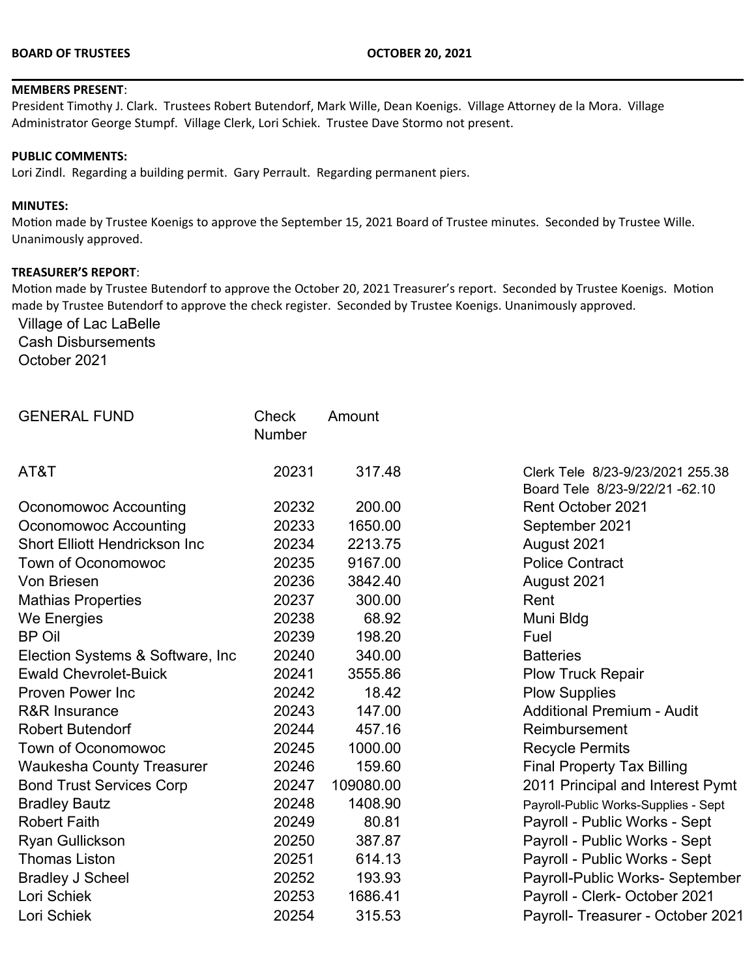#### **MEMBERS PRESENT**:

President Timothy J. Clark. Trustees Robert Butendorf, Mark Wille, Dean Koenigs. Village Attorney de la Mora. Village Administrator George Stumpf. Village Clerk, Lori Schiek. Trustee Dave Stormo not present.

#### **PUBLIC COMMENTS:**

Lori Zindl. Regarding a building permit. Gary Perrault. Regarding permanent piers.

#### **MINUTES:**

Motion made by Trustee Koenigs to approve the September 15, 2021 Board of Trustee minutes. Seconded by Trustee Wille. Unanimously approved.

#### **TREASURER'S REPORT**:

Motion made by Trustee Butendorf to approve the October 20, 2021 Treasurer's report. Seconded by Trustee Koenigs. Motion made by Trustee Butendorf to approve the check register. Seconded by Trustee Koenigs. Unanimously approved.

Village of Lac LaBelle Cash Disbursements October 2021

| <b>GENERAL FUND</b>                  | Check<br><b>Number</b> | Amount    |                                                                   |
|--------------------------------------|------------------------|-----------|-------------------------------------------------------------------|
| AT&T                                 | 20231                  | 317.48    | Clerk Tele 8/23-9/23/2021 255.38<br>Board Tele 8/23-9/22/21-62.10 |
| Oconomowoc Accounting                | 20232                  | 200.00    | Rent October 2021                                                 |
| Oconomowoc Accounting                | 20233                  | 1650.00   | September 2021                                                    |
| <b>Short Elliott Hendrickson Inc</b> | 20234                  | 2213.75   | August 2021                                                       |
| <b>Town of Oconomowoc</b>            | 20235                  | 9167.00   | <b>Police Contract</b>                                            |
| Von Briesen                          | 20236                  | 3842.40   | August 2021                                                       |
| <b>Mathias Properties</b>            | 20237                  | 300.00    | Rent                                                              |
| We Energies                          | 20238                  | 68.92     | Muni Bldg                                                         |
| <b>BP Oil</b>                        | 20239                  | 198.20    | Fuel                                                              |
| Election Systems & Software, Inc     | 20240                  | 340.00    | <b>Batteries</b>                                                  |
| <b>Ewald Chevrolet-Buick</b>         | 20241                  | 3555.86   | <b>Plow Truck Repair</b>                                          |
| <b>Proven Power Inc</b>              | 20242                  | 18.42     | <b>Plow Supplies</b>                                              |
| <b>R&amp;R Insurance</b>             | 20243                  | 147.00    | <b>Additional Premium - Audit</b>                                 |
| <b>Robert Butendorf</b>              | 20244                  | 457.16    | Reimbursement                                                     |
| <b>Town of Oconomowoc</b>            | 20245                  | 1000.00   | <b>Recycle Permits</b>                                            |
| <b>Waukesha County Treasurer</b>     | 20246                  | 159.60    | <b>Final Property Tax Billing</b>                                 |
| <b>Bond Trust Services Corp</b>      | 20247                  | 109080.00 | 2011 Principal and Interest Pymt                                  |
| <b>Bradley Bautz</b>                 | 20248                  | 1408.90   | Payroll-Public Works-Supplies - Sept                              |
| <b>Robert Faith</b>                  | 20249                  | 80.81     | Payroll - Public Works - Sept                                     |
| <b>Ryan Gullickson</b>               | 20250                  | 387.87    | Payroll - Public Works - Sept                                     |
| <b>Thomas Liston</b>                 | 20251                  | 614.13    | Payroll - Public Works - Sept                                     |
| <b>Bradley J Scheel</b>              | 20252                  | 193.93    | Payroll-Public Works- September                                   |
| Lori Schiek                          | 20253                  | 1686.41   | Payroll - Clerk- October 2021                                     |
| Lori Schiek                          | 20254                  | 315.53    | Payroll- Treasurer - October 2021                                 |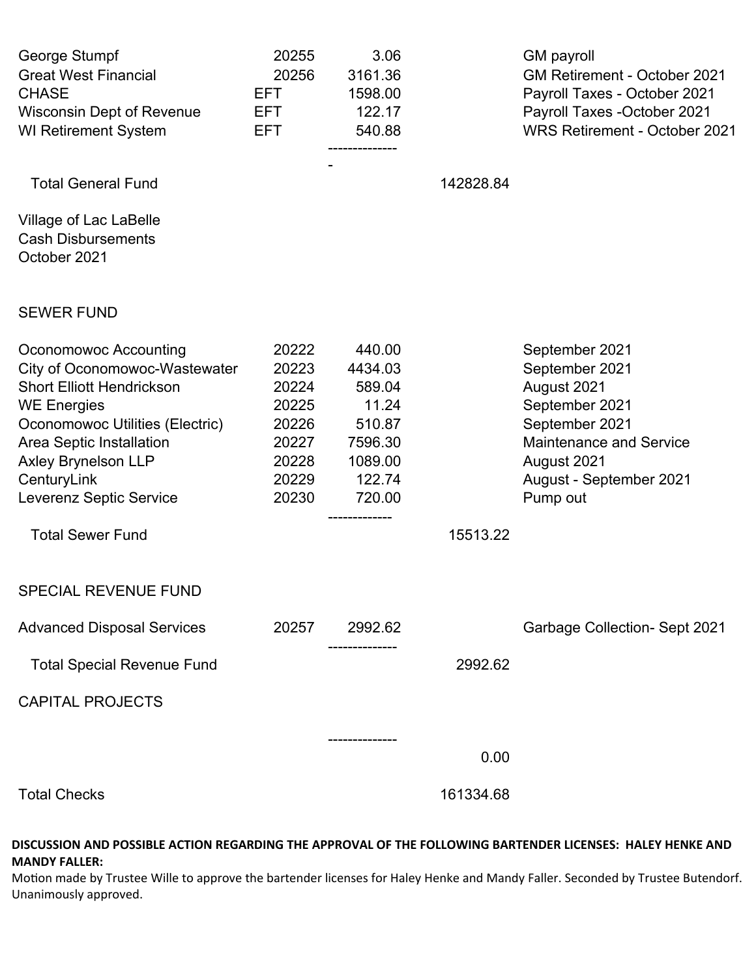| George Stumpf<br><b>Great West Financial</b><br><b>CHASE</b><br><b>Wisconsin Dept of Revenue</b><br><b>WI Retirement System</b>                                                                                                                                                    | 20255<br>20256<br>EFT.<br>EFT.<br>EFT.                                        | 3.06<br>3161.36<br>1598.00<br>122.17<br>540.88<br>-------------                          |           | <b>GM</b> payroll<br>GM Retirement - October 2021<br>Payroll Taxes - October 2021<br>Payroll Taxes - October 2021<br><b>WRS Retirement - October 2021</b>                   |
|------------------------------------------------------------------------------------------------------------------------------------------------------------------------------------------------------------------------------------------------------------------------------------|-------------------------------------------------------------------------------|------------------------------------------------------------------------------------------|-----------|-----------------------------------------------------------------------------------------------------------------------------------------------------------------------------|
| <b>Total General Fund</b>                                                                                                                                                                                                                                                          |                                                                               |                                                                                          | 142828.84 |                                                                                                                                                                             |
| Village of Lac LaBelle<br><b>Cash Disbursements</b><br>October 2021                                                                                                                                                                                                                |                                                                               |                                                                                          |           |                                                                                                                                                                             |
| <b>SEWER FUND</b>                                                                                                                                                                                                                                                                  |                                                                               |                                                                                          |           |                                                                                                                                                                             |
| Oconomowoc Accounting<br>City of Oconomowoc-Wastewater<br><b>Short Elliott Hendrickson</b><br><b>WE Energies</b><br>Oconomowoc Utilities (Electric)<br>Area Septic Installation<br><b>Axley Brynelson LLP</b><br>CenturyLink<br>Leverenz Septic Service<br><b>Total Sewer Fund</b> | 20222<br>20223<br>20224<br>20225<br>20226<br>20227<br>20228<br>20229<br>20230 | 440.00<br>4434.03<br>589.04<br>11.24<br>510.87<br>7596.30<br>1089.00<br>122.74<br>720.00 | 15513.22  | September 2021<br>September 2021<br>August 2021<br>September 2021<br>September 2021<br><b>Maintenance and Service</b><br>August 2021<br>August - September 2021<br>Pump out |
| <b>SPECIAL REVENUE FUND</b>                                                                                                                                                                                                                                                        |                                                                               |                                                                                          |           |                                                                                                                                                                             |
| <b>Advanced Disposal Services</b>                                                                                                                                                                                                                                                  | 20257                                                                         | 2992.62                                                                                  |           | <b>Garbage Collection- Sept 2021</b>                                                                                                                                        |
| <b>Total Special Revenue Fund</b>                                                                                                                                                                                                                                                  |                                                                               |                                                                                          | 2992.62   |                                                                                                                                                                             |
| <b>CAPITAL PROJECTS</b>                                                                                                                                                                                                                                                            |                                                                               |                                                                                          |           |                                                                                                                                                                             |
|                                                                                                                                                                                                                                                                                    |                                                                               | . <b>.</b> .                                                                             | 0.00      |                                                                                                                                                                             |
| <b>Total Checks</b>                                                                                                                                                                                                                                                                |                                                                               |                                                                                          | 161334.68 |                                                                                                                                                                             |

### **DISCUSSION AND POSSIBLE ACTION REGARDING THE APPROVAL OF THE FOLLOWING BARTENDER LICENSES: HALEY HENKE AND MANDY FALLER:**

Motion made by Trustee Wille to approve the bartender licenses for Haley Henke and Mandy Faller. Seconded by Trustee Butendorf. Unanimously approved.